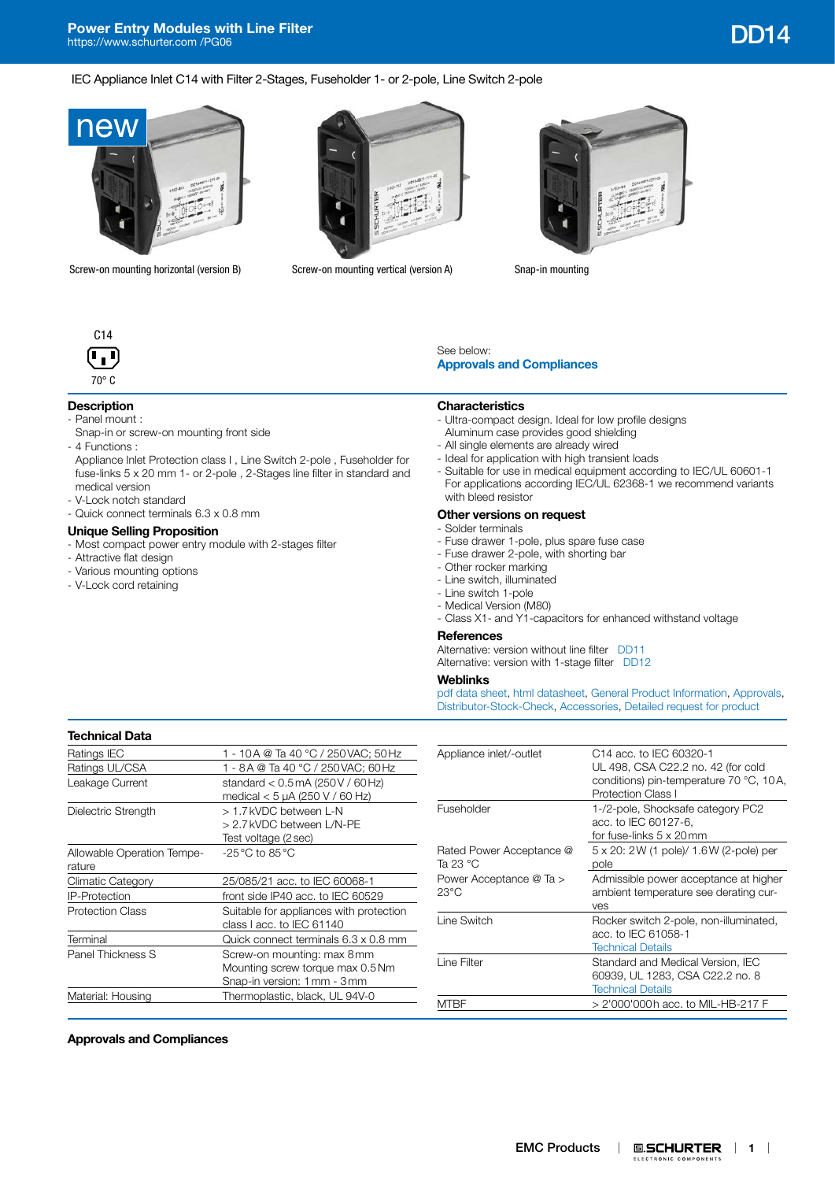#### IEC Appliance Inlet C14 with Filter 2-Stages, Fuseholder 1- or 2-pole, Line Switch 2-pole



Screw-on mounting horizontal (version B) Screw-on mounting vertical (version A) Snap-in mounting







## **Description**

- Panel mount :
- Snap-in or screw-on mounting front side
- 4 Functions :

Appliance Inlet Protection class I , Line Switch 2-pole , Fuseholder for fuse-links 5 x 20 mm 1- or 2-pole , 2-Stages line filter in standard and medical version

- V-Lock notch standard
- Quick connect terminals 6.3 x 0.8 mm

### **Unique Selling Proposition**

- Most compact power entry module with 2-stages filter
- Attractive flat design
- Various mounting options
- V-Lock cord retaining

See below:

- **Characteristics**
- Ultra-compact design. Ideal for low profile designs Aluminum case provides good shielding
- All single elements are already wired

**[Approvals and Compliances](#page-0-0)**

- Ideal for application with high transient loads
- Suitable for use in medical equipment according to IEC/UL 60601-1 For applications according IEC/UL 62368-1 we recommend variants with bleed resistor

#### **Other versions on request**

- Solder terminals
- Fuse drawer 1-pole, plus spare fuse case
- Fuse drawer 2-pole, with shorting bar
- Other rocker marking
- Line switch, illuminated
- Line switch 1-pole
- Medical Version (M80)
- Class X1- and Y1-capacitors for enhanced withstand voltage

#### **References**

Alternative: version without line filter [DD11](http://www.schurter.ch/pdf/english/typ_DD11.pdf) Alternative: version with 1-stage filter [DD12](http://www.schurter.ch/pdf/english/typ_DD12.pdf)

# **Weblinks**

[pdf data sheet,](https://www.schurter.com/en/datasheet/typ_DD14.pdf?utm_source=PDF_Files&utm_medium=DD14&utm_campaign=Weblinks) [html datasheet](https://www.schurter.com/en/datasheet/DD14?&utm_source=PDF_Files&utm_medium=DD14&utm_campaign=Weblinks), [General Product Information,](https://www.schurter.com/en/FAQ) [Approvals](https://www.schurter.com/en/Documents-References/Approvals/(id)/Field+producttype=DD14), [Distributor-Stock-Check,](https://www.schurter.com/en/Stock-Check/Stock-Check-Distributor?partnumber1=DD14) [Accessories](https://www.schurter.com/en/Components/Catalog?(pgz01)/1), [Detailed request for product](https://www.schurter.com/en/Contacts/Contact-Form?type=DD14)

## **Technical Data** Ratings IEC 1 - 10A @ Ta 40 °C / 250 VAC; 50 Hz Ratings UL/CSA 1 - 8A @ Ta 40 °C / 250 VAC: 60 Hz Leakage Current standard < 0.5 mA (250 V / 60 Hz) medical < 5 µA (250 V / 60 Hz) Dielectric Strength > 1.7kVDC between L-N > 2.7kVDC between L/N-PE Test voltage (2sec) Allowable Operation Temperature -25°C to 85°C Climatic Category 25/085/21 acc. to IEC 60068-1 IP-Protection front side IP40 acc. to IEC 60529 Protection Class Suitable for appliances with protection class I acc. to IEC 61140 Terminal Quick connect terminals 6.3 x 0.8 mm Panel Thickness S Screw-on mounting: max 8mm Mounting screw torque max 0.5Nm Snap-in version: 1mm - 3mm

Material: Housing Thermoplastic, black, UL 94V-0

| Appliance inlet/-outlet                   | C14 acc. to IEC 60320-1<br>UL 498, CSA C22.2 no. 42 (for cold<br>conditions) pin-temperature 70 °C, 10A,<br><b>Protection Class I</b> |
|-------------------------------------------|---------------------------------------------------------------------------------------------------------------------------------------|
| Fuseholder                                | 1-/2-pole, Shocksafe category PC2<br>acc. to IEC 60127-6.<br>for fuse-links 5 x 20mm                                                  |
| Rated Power Acceptance @<br>Ta 23 °C      | 5 x 20: 2 W (1 pole)/ 1.6 W (2-pole) per<br>pole                                                                                      |
| Power Acceptance @ Ta ><br>$23^{\circ}$ C | Admissible power acceptance at higher<br>ambient temperature see derating cur-<br>ves                                                 |
| Line Switch                               | Rocker switch 2-pole, non-illuminated,<br>acc. to IEC 61058-1<br><b>Technical Details</b>                                             |
| Line Filter                               | Standard and Medical Version, IEC<br>60939, UL 1283, CSA C22.2 no. 8<br><b>Technical Details</b>                                      |
| MTRF                                      | > 2'000'000h acc. to MIL-HB-217 F                                                                                                     |

#### <span id="page-0-0"></span>**Approvals and Compliances**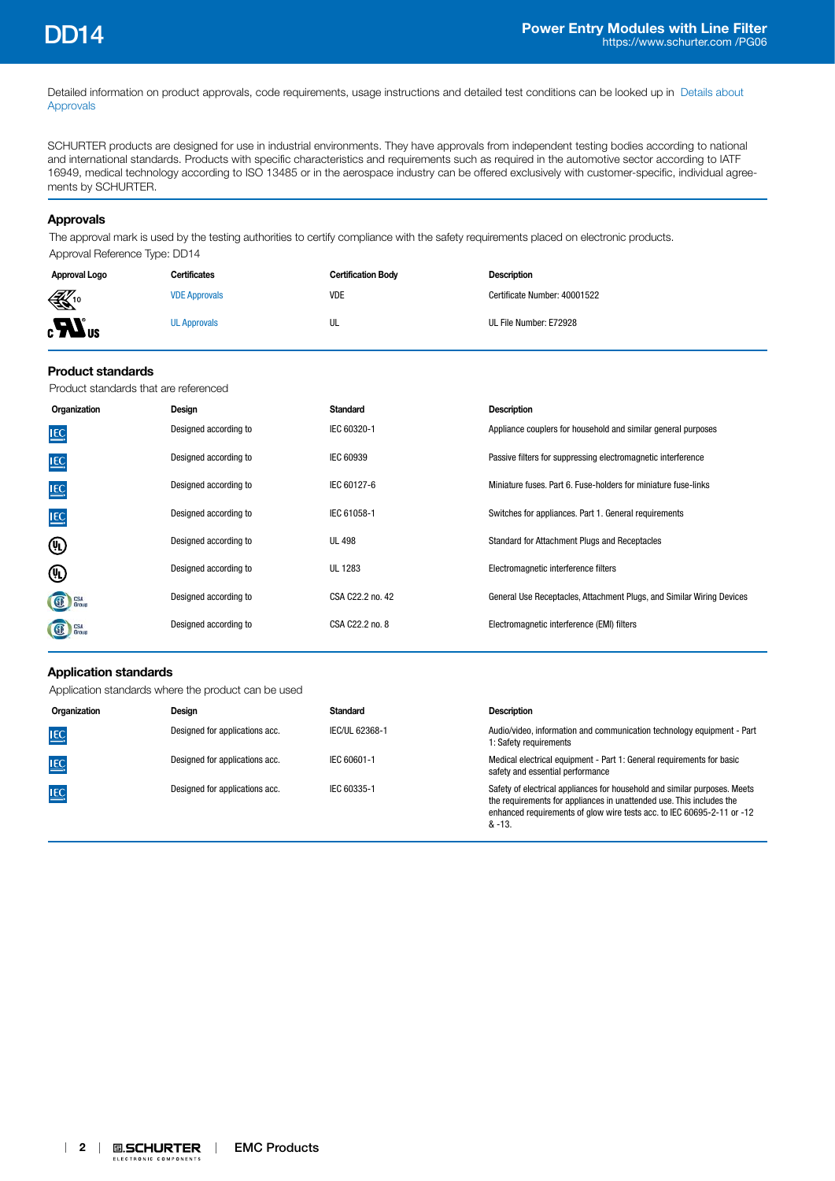Detailed information on product approvals, code requirements, usage instructions and detailed test conditions can be looked up in [Details about](https://www.schurter.com/en/Components/Connectors/General-Product-Information#1.1)  [Approvals](https://www.schurter.com/en/Components/Connectors/General-Product-Information#1.1)

SCHURTER products are designed for use in industrial environments. They have approvals from independent testing bodies according to national and international standards. Products with specific characteristics and requirements such as required in the automotive sector according to IATF 16949, medical technology according to ISO 13485 or in the aerospace industry can be offered exclusively with customer-specific, individual agreements by SCHURTER.

## **Approvals**

The approval mark is used by the testing authorities to certify compliance with the safety requirements placed on electronic products. Approval Reference Type: DD14

| Approval Logo    | <b>Certificates</b>  | <b>Certification Body</b> | <b>Description</b>           |
|------------------|----------------------|---------------------------|------------------------------|
| $\bigoplus_{10}$ | <b>VDE Approvals</b> | VDE                       | Certificate Number: 40001522 |
| $\boldsymbol{u}$ | <b>UL Approvals</b>  | UL                        | UL File Number: E72928       |

#### **Product standards**

Product standards that are referenced

| Organization      | Design                | Standard         | <b>Description</b>                                                    |
|-------------------|-----------------------|------------------|-----------------------------------------------------------------------|
| <b>IEC</b>        | Designed according to | IEC 60320-1      | Appliance couplers for household and similar general purposes         |
| <b>IEC</b>        | Designed according to | IEC 60939        | Passive filters for suppressing electromagnetic interference          |
| <b>IEC</b>        | Designed according to | IEC 60127-6      | Miniature fuses, Part 6, Fuse-holders for miniature fuse-links        |
| <b>IEC</b>        | Designed according to | IEC 61058-1      | Switches for appliances. Part 1. General requirements                 |
| ⊕                 | Designed according to | <b>UL 498</b>    | Standard for Attachment Plugs and Receptacles                         |
| ⊕                 | Designed according to | UL 1283          | Electromagnetic interference filters                                  |
| GE Group          | Designed according to | CSA C22.2 no. 42 | General Use Receptacles, Attachment Plugs, and Similar Wiring Devices |
| G<br>CSA<br>Group | Designed according to | CSA C22.2 no. 8  | Electromagnetic interference (EMI) filters                            |

## **Application standards**

Application standards where the product can be used

| Organization | Design                         | Standard       | <b>Description</b>                                                                                                                                                                                                                      |
|--------------|--------------------------------|----------------|-----------------------------------------------------------------------------------------------------------------------------------------------------------------------------------------------------------------------------------------|
| <b>IEC</b>   | Designed for applications acc. | IEC/UL 62368-1 | Audio/video, information and communication technology equipment - Part<br>1: Safety requirements                                                                                                                                        |
| <b>IEC</b>   | Designed for applications acc. | IEC 60601-1    | Medical electrical equipment - Part 1: General requirements for basic<br>safety and essential performance                                                                                                                               |
| <b>IEC</b>   | Designed for applications acc. | IEC 60335-1    | Safety of electrical appliances for household and similar purposes. Meets<br>the requirements for appliances in unattended use. This includes the<br>enhanced requirements of glow wire tests acc. to IEC 60695-2-11 or -12<br>$& -13.$ |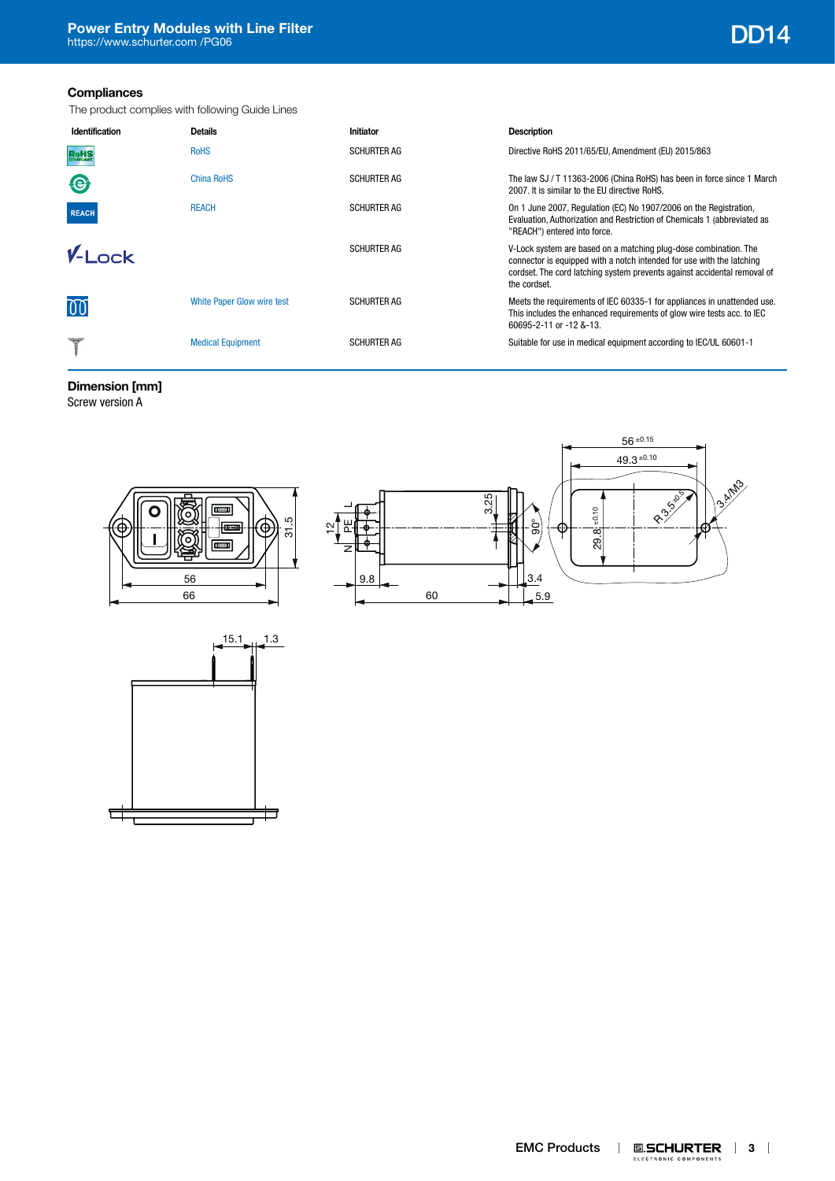## **Compliances**

The product complies with following Guide Lines

| Identification | <b>Details</b>             | Initiator          | Description                                                                                                                                                                                                                           |
|----------------|----------------------------|--------------------|---------------------------------------------------------------------------------------------------------------------------------------------------------------------------------------------------------------------------------------|
| <b>RoHS</b>    | <b>RoHS</b>                | <b>SCHURTER AG</b> | Directive RoHS 2011/65/EU, Amendment (EU) 2015/863                                                                                                                                                                                    |
| <b>Q</b>       | China RoHS                 | <b>SCHURTER AG</b> | The law SJ / T 11363-2006 (China RoHS) has been in force since 1 March<br>2007. It is similar to the EU directive RoHS.                                                                                                               |
| <b>REACH</b>   | <b>REACH</b>               | <b>SCHURTER AG</b> | On 1 June 2007, Regulation (EC) No 1907/2006 on the Registration,<br>Evaluation, Authorization and Restriction of Chemicals 1 (abbreviated as<br>"REACH") entered into force.                                                         |
| $V-I$ nck      |                            | <b>SCHURTER AG</b> | V-Lock system are based on a matching plug-dose combination. The<br>connector is equipped with a notch intended for use with the latching<br>cordset. The cord latching system prevents against accidental removal of<br>the cordset. |
| 00             | White Paper Glow wire test | <b>SCHURTER AG</b> | Meets the requirements of IEC 60335-1 for appliances in unattended use.<br>This includes the enhanced requirements of glow wire tests acc. to IEC<br>60695-2-11 or -12 &-13.                                                          |
|                | <b>Medical Equipment</b>   | <b>SCHURTER AG</b> | Suitable for use in medical equipment according to IEC/UL 60601-1                                                                                                                                                                     |

# **Dimension [mm]**

Screw version A



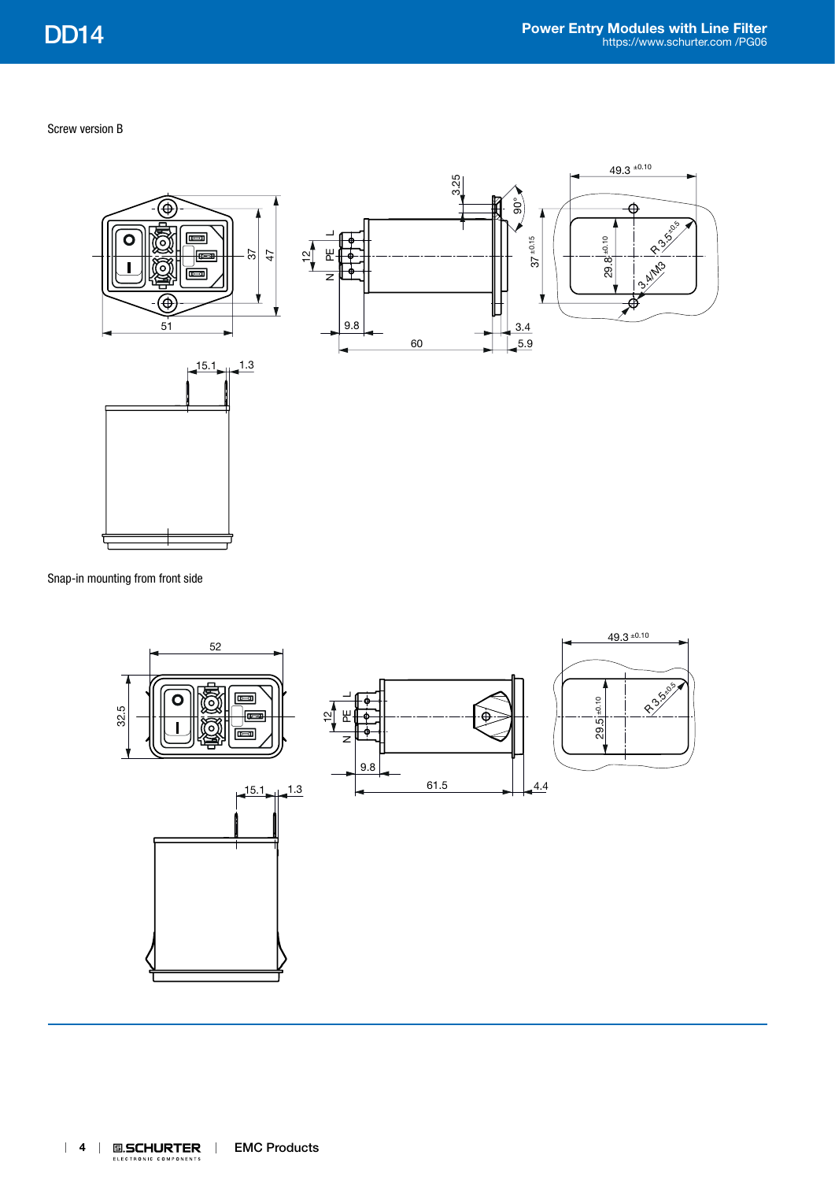Screw version B



Snap-in mounting from front side

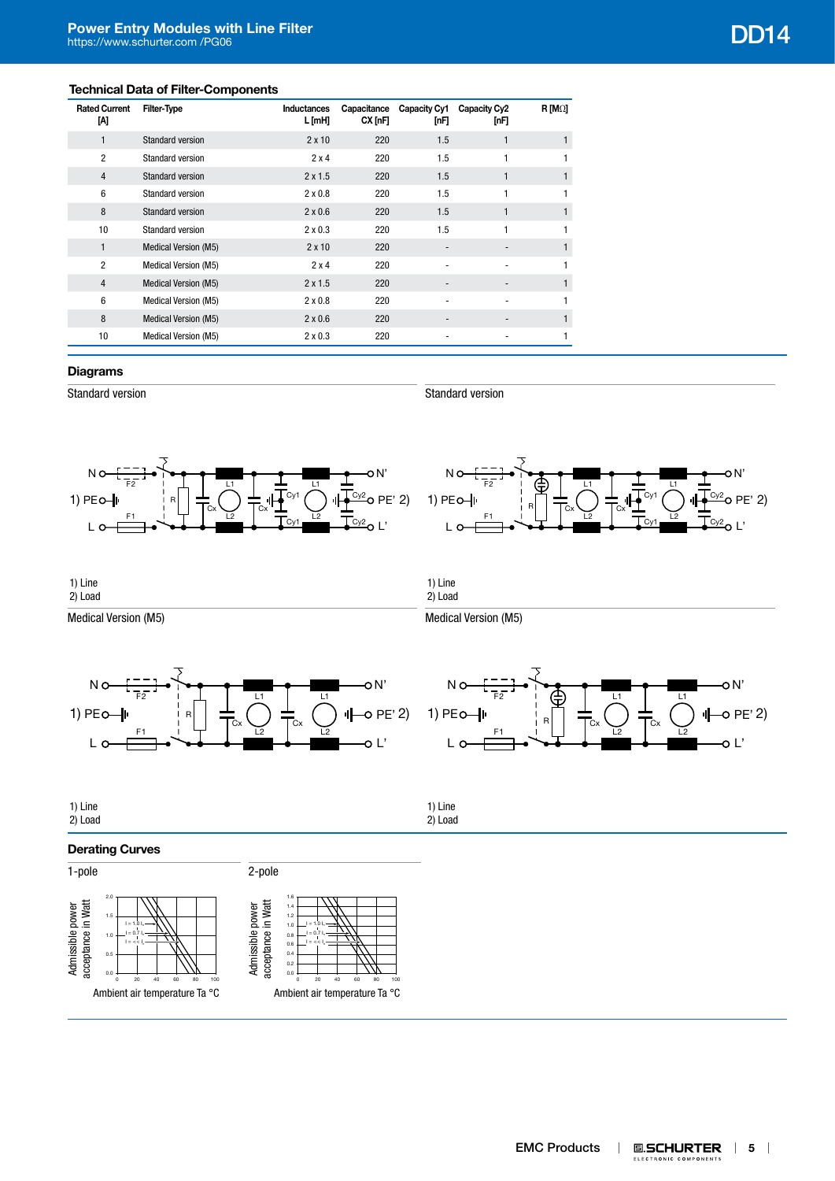## **Technical Data of Filter-Components**

| <b>Rated Current</b><br>M | <b>Filter-Type</b>          | Inductances<br>L [mH] | Capacitance<br>CX[ <sub>nF</sub> ] | Capacity Cy1<br>[nF]     | Capacity Cy2<br>[nF] | $R$ [M $\Omega$ ] |
|---------------------------|-----------------------------|-----------------------|------------------------------------|--------------------------|----------------------|-------------------|
| $\mathbf{1}$              | <b>Standard version</b>     | $2 \times 10$         | 220                                | 1.5                      | 1                    |                   |
| $\overline{2}$            | Standard version            | 2x4                   | 220                                | 1.5                      | 1                    |                   |
| $\overline{4}$            | Standard version            | $2 \times 1.5$        | 220                                | 1.5                      |                      | $\mathbf{1}$      |
| 6                         | Standard version            | $2 \times 0.8$        | 220                                | 1.5                      |                      | 1                 |
| 8                         | <b>Standard version</b>     | $2 \times 0.6$        | 220                                | 1.5                      | 1                    | 1                 |
| 10                        | Standard version            | $2 \times 0.3$        | 220                                | 1.5                      | 1                    | $\mathbf{1}$      |
| $\mathbf{1}$              | <b>Medical Version (M5)</b> | $2 \times 10$         | 220                                | $\overline{\phantom{a}}$ |                      | $\mathbf{1}$      |
| $\overline{2}$            | Medical Version (M5)        | 2x4                   | 220                                |                          |                      | 1                 |
| $\overline{4}$            | <b>Medical Version (M5)</b> | $2 \times 1.5$        | 220                                | -                        | -                    | 1                 |
| 6                         | Medical Version (M5)        | $2 \times 0.8$        | 220                                |                          |                      |                   |
| 8                         | <b>Medical Version (M5)</b> | $2 \times 0.6$        | 220                                | $\overline{\phantom{a}}$ | -                    |                   |
| 10                        | Medical Version (M5)        | $2 \times 0.3$        | 220                                | $\overline{\phantom{a}}$ |                      | 1                 |

## **Diagrams**

Standard version

Standard version

1) Line





1) Line 2) Load

Medical Version (M5)







| 1) Line<br>2) Load<br>1) Line<br>2) Load |
|------------------------------------------|
|------------------------------------------|

## **Derating Curves**

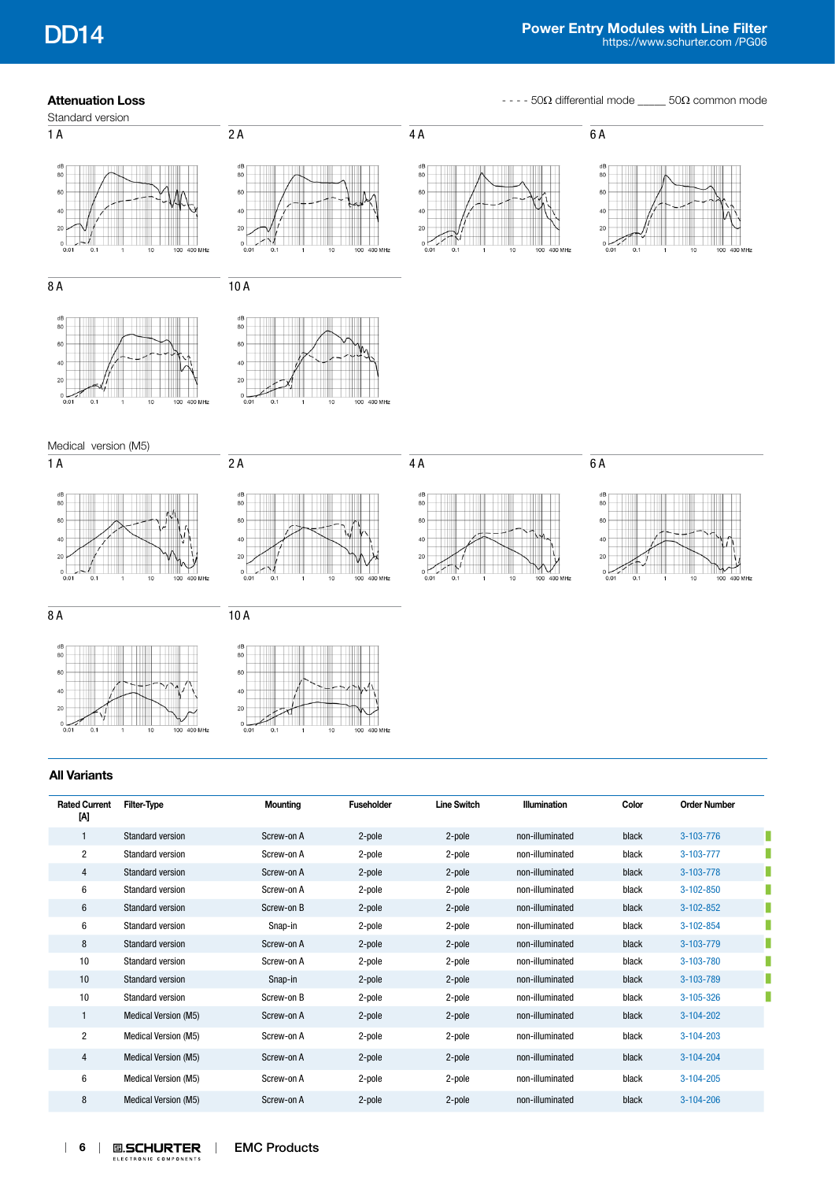**Attenuation Loss Attenuation Loss - - - 50Ω** differential mode \_\_\_\_ 50Ω common mode



## **All Variants**

| <b>Rated Current</b><br>[A] | Filter-Type                 | <b>Mounting</b> | <b>Fuseholder</b> | <b>Line Switch</b> | <b>Illumination</b> | Color | <b>Order Number</b> |
|-----------------------------|-----------------------------|-----------------|-------------------|--------------------|---------------------|-------|---------------------|
|                             | <b>Standard version</b>     | Screw-on A      | 2-pole            | 2-pole             | non-illuminated     | black | 3-103-776           |
| $\overline{2}$              | <b>Standard version</b>     | Screw-on A      | 2-pole            | 2-pole             | non-illuminated     | black | 3-103-777           |
| 4                           | <b>Standard version</b>     | Screw-on A      | 2-pole            | 2-pole             | non-illuminated     | black | 3-103-778           |
| 6                           | <b>Standard version</b>     | Screw-on A      | 2-pole            | 2-pole             | non-illuminated     | black | 3-102-850           |
| 6                           | <b>Standard version</b>     | Screw-on B      | 2-pole            | 2-pole             | non-illuminated     | black | $3-102-852$         |
| 6                           | <b>Standard version</b>     | Snap-in         | 2-pole            | 2-pole             | non-illuminated     | black | 3-102-854           |
| 8                           | Standard version            | Screw-on A      | 2-pole            | 2-pole             | non-illuminated     | black | 3-103-779           |
| 10                          | <b>Standard version</b>     | Screw-on A      | 2-pole            | 2-pole             | non-illuminated     | black | 3-103-780           |
| 10                          | Standard version            | Snap-in         | 2-pole            | 2-pole             | non-illuminated     | black | 3-103-789           |
| 10                          | <b>Standard version</b>     | Screw-on B      | 2-pole            | 2-pole             | non-illuminated     | black | $3 - 105 - 326$     |
|                             | Medical Version (M5)        | Screw-on A      | 2-pole            | 2-pole             | non-illuminated     | black | 3-104-202           |
| $\overline{2}$              | <b>Medical Version (M5)</b> | Screw-on A      | 2-pole            | 2-pole             | non-illuminated     | black | $3-104-203$         |
| 4                           | Medical Version (M5)        | Screw-on A      | 2-pole            | 2-pole             | non-illuminated     | black | 3-104-204           |
| 6                           | <b>Medical Version (M5)</b> | Screw-on A      | 2-pole            | 2-pole             | non-illuminated     | black | $3-104-205$         |
| 8                           | <b>Medical Version (M5)</b> | Screw-on A      | 2-pole            | 2-pole             | non-illuminated     | black | $3-104-206$         |

400 MHz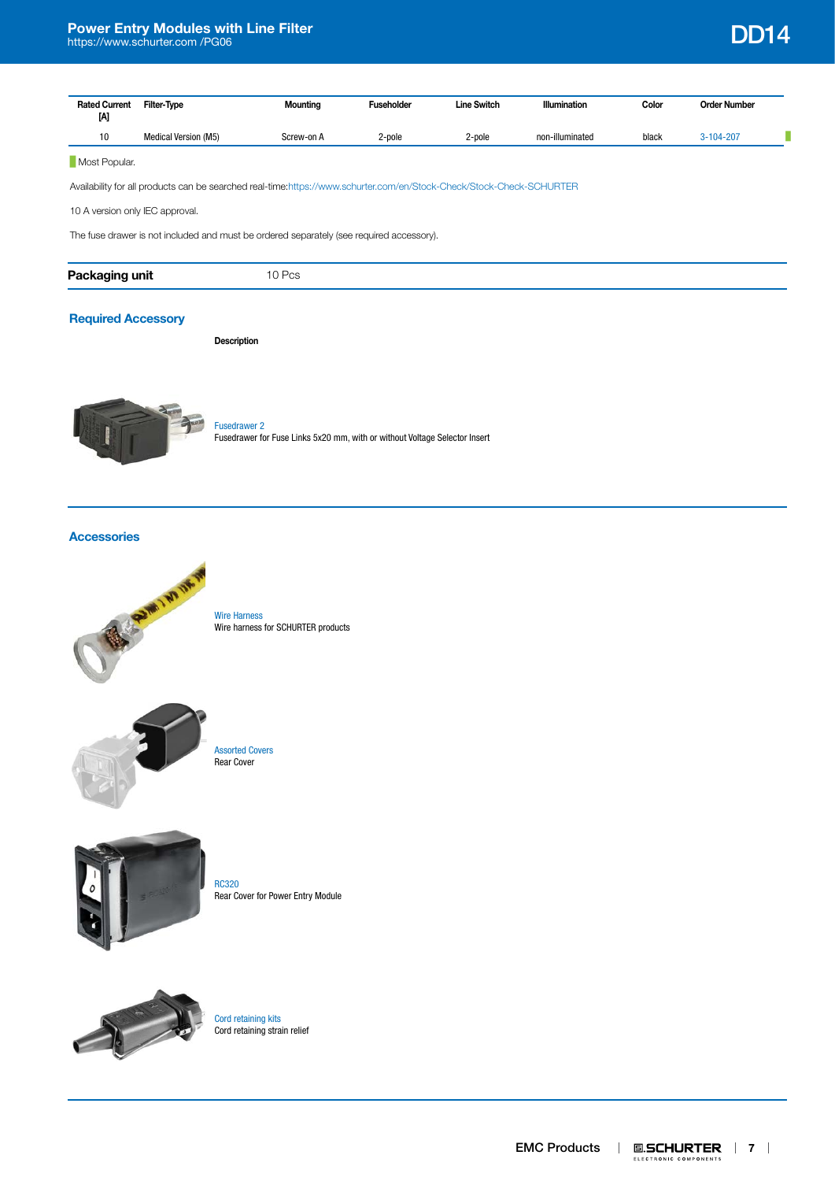| <b>Rated Current</b><br>M | Filter-Type          | Mounting   | <b>Fuseholder</b> | <b>Line Switch</b> | <b>Illumination</b> | Color | <b>Order Number</b> |  |
|---------------------------|----------------------|------------|-------------------|--------------------|---------------------|-------|---------------------|--|
| 10                        | Medical Version (M5) | Screw-on A | 2-pole            | 2-pole             | non-illuminated     | black | 3-104-207           |  |

## **Most Popular.**

Availability for all products can be searched real-time:<https://www.schurter.com/en/Stock-Check/Stock-Check-SCHURTER>

10 A version only IEC approval.

The fuse drawer is not included and must be ordered separately (see required accessory).

| Packaging |                          |
|-----------|--------------------------|
| unit      | $\overline{\phantom{0}}$ |
|           | 10100                    |
|           |                          |

## **[Required Accessory](http://www.schurter.ch/en/wwwsc/con_z01.asp?language_id=0)**

**Description**



[Fusedrawer 2](http://www.schurter.ch/pdf/english/typ_Fusedrawer_2.pdf) Fusedrawer for Fuse Links 5x20 mm, with or without Voltage Selector Insert

## **[Accessories](http://www.schurter.ch/en/wwwsc/con_z01.asp?language_id=0)**



[Wire Harness](http://www.schurter.ch/pdf/english/typ_Wire_Harness.pdf) Wire harness for SCHURTER products



[Assorted Covers](http://www.schurter.ch/pdf/english/typ_Assorted_Covers.pdf) Rear Cover



[RC320](http://www.schurter.ch/pdf/english/typ_RC320.pdf) Rear Cover for Power Entry Module



[Cord retaining kits](http://www.schurter.ch/pdf/english/typ_Cord_retaining_kits.pdf) Cord retaining strain relief